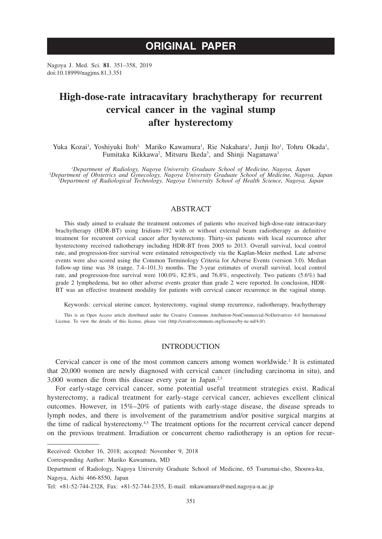# **ORIGINAL PAPER**

Nagoya J. Med. Sci. **81**. 351–358, 2019 doi:10.18999/nagjms.81.3.351

# **High-dose-rate intracavitary brachytherapy for recurrent cervical cancer in the vaginal stump after hysterectomy**

Yuka Kozai<sup>1</sup>, Yoshiyuki Itoh<sup>1,</sup> Mariko Kawamura<sup>1</sup>, Rie Nakahara<sup>1</sup>, Junji Ito<sup>1</sup>, Tohru Okada<sup>1</sup>, Fumitaka Kikkawa<sup>2</sup>, Mitsuru Ikeda<sup>3</sup>, and Shinji Naganawa<sup>1</sup>

*<sup>1</sup>Department of Radiology, Nagoya University Graduate School of Medicine, Nagoya, Japan*<br><sup>2</sup>Department of Obstetrics and Gynecology, Nagoya University Graduate School of Medicine, Nagoya, Japan<br><sup>3</sup>Department of Radiologi *Department of Radiological Technology, Nagoya University School of Health Science, Nagoya, Japan*

# ABSTRACT

This study aimed to evaluate the treatment outcomes of patients who received high-dose-rate intracavitary brachytherapy (HDR-BT) using Iridium-192 with or without external beam radiotherapy as definitive treatment for recurrent cervical cancer after hysterectomy. Thirty-six patients with local recurrence after hysterectomy received radiotherapy including HDR-BT from 2005 to 2013. Overall survival, local control rate, and progression-free survival were estimated retrospectively via the Kaplan-Meier method. Late adverse events were also scored using the Common Terminology Criteria for Adverse Events (version 3.0). Median follow-up time was 38 (range, 7.4–101.3) months. The 3-year estimates of overall survival, local control rate, and progression-free survival were 100.0%, 82.8%, and 76.8%, respectively. Two patients (5.6%) had grade 2 lymphedema, but no other adverse events greater than grade 2 were reported. In conclusion, HDR-BT was an effective treatment modality for patients with cervical cancer recurrence in the vaginal stump.

Keywords: cervical uterine cancer, hysterectomy, vaginal stump recurrence, radiotherapy, brachytherapy

This is an Open Access article distributed under the Creative Commons Attribution-NonCommercial-NoDerivatives 4.0 International License. To view the details of this license, please visit (http://creativecommons.org/licenses/by-nc-nd/4.0/).

# INTRODUCTION

Cervical cancer is one of the most common cancers among women worldwide.<sup>1</sup> It is estimated that 20,000 women are newly diagnosed with cervical cancer (including carcinoma in situ), and 3,000 women die from this disease every year in Japan.2,3

For early-stage cervical cancer, some potential useful treatment strategies exist. Radical hysterectomy, a radical treatment for early-stage cervical cancer, achieves excellent clinical outcomes. However, in 15%–20% of patients with early-stage disease, the disease spreads to lymph nodes, and there is involvement of the parametrium and/or positive surgical margins at the time of radical hysterectomy.<sup>4,5</sup> The treatment options for the recurrent cervical cancer depend on the previous treatment. Irradiation or concurrent chemo radiotherapy is an option for recur-

Corresponding Author: Mariko Kawamura, MD

Received: October 16, 2018; accepted: November 9, 2018

Department of Radiology, Nagoya University Graduate School of Medicine, 65 Tsurumai-cho, Shouwa-ku, Nagoya, Aichi 466-8550, Japan

Tel: +81-52-744-2328, Fax: +81-52-744-2335, E-mail: mkawamura@med.nagoya-u.ac.jp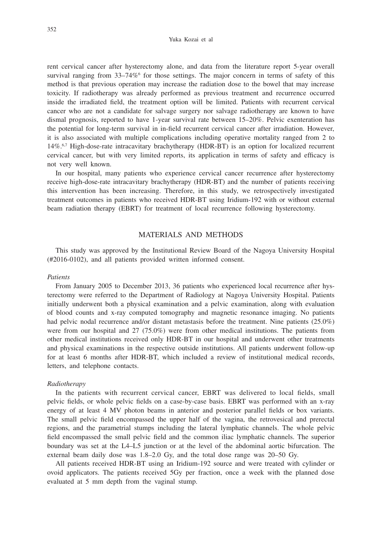rent cervical cancer after hysterectomy alone, and data from the literature report 5-year overall survival ranging from 33–74% for those settings. The major concern in terms of safety of this method is that previous operation may increase the radiation dose to the bowel that may increase toxicity. If radiotherapy was already performed as previous treatment and recurrence occurred inside the irradiated field, the treatment option will be limited. Patients with recurrent cervical cancer who are not a candidate for salvage surgery nor salvage radiotherapy are known to have dismal prognosis, reported to have 1-year survival rate between 15–20%. Pelvic exenteration has the potential for long-term survival in in-field recurrent cervical cancer after irradiation. However, it is also associated with multiple complications including operative mortality ranged from 2 to 14%.6,7 High-dose-rate intracavitary brachytherapy (HDR-BT) is an option for localized recurrent cervical cancer, but with very limited reports, its application in terms of safety and efficacy is not very well known.

In our hospital, many patients who experience cervical cancer recurrence after hysterectomy receive high-dose-rate intracavitary brachytherapy (HDR-BT) and the number of patients receiving this intervention has been increasing. Therefore, in this study, we retrospectively investigated treatment outcomes in patients who received HDR-BT using Iridium-192 with or without external beam radiation therapy (EBRT) for treatment of local recurrence following hysterectomy.

# MATERIALS AND METHODS

This study was approved by the Institutional Review Board of the Nagoya University Hospital (#2016-0102), and all patients provided written informed consent.

### *Patients*

From January 2005 to December 2013, 36 patients who experienced local recurrence after hysterectomy were referred to the Department of Radiology at Nagoya University Hospital. Patients initially underwent both a physical examination and a pelvic examination, along with evaluation of blood counts and x-ray computed tomography and magnetic resonance imaging. No patients had pelvic nodal recurrence and/or distant metastasis before the treatment. Nine patients (25.0%) were from our hospital and 27 (75.0%) were from other medical institutions. The patients from other medical institutions received only HDR-BT in our hospital and underwent other treatments and physical examinations in the respective outside institutions. All patients underwent follow-up for at least 6 months after HDR-BT, which included a review of institutional medical records, letters, and telephone contacts.

# *Radiotherapy*

In the patients with recurrent cervical cancer, EBRT was delivered to local fields, small pelvic fields, or whole pelvic fields on a case-by-case basis. EBRT was performed with an x-ray energy of at least 4 MV photon beams in anterior and posterior parallel fields or box variants. The small pelvic field encompassed the upper half of the vagina, the retrovesical and prerectal regions, and the parametrial stumps including the lateral lymphatic channels. The whole pelvic field encompassed the small pelvic field and the common iliac lymphatic channels. The superior boundary was set at the L4–L5 junction or at the level of the abdominal aortic bifurcation. The external beam daily dose was 1.8–2.0 Gy, and the total dose range was 20–50 Gy.

All patients received HDR-BT using an Iridium-192 source and were treated with cylinder or ovoid applicators. The patients received 5Gy per fraction, once a week with the planned dose evaluated at 5 mm depth from the vaginal stump.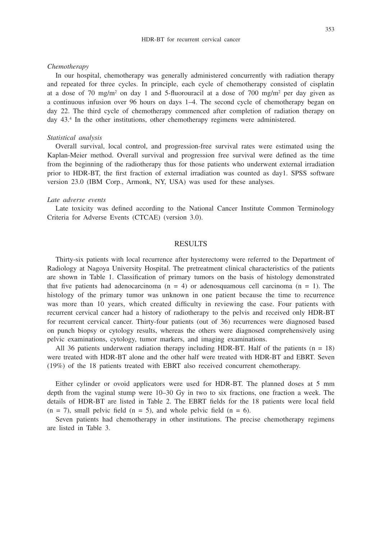#### HDR-BT for recurrent cervical cancer

#### *Chemotherapy*

In our hospital, chemotherapy was generally administered concurrently with radiation therapy and repeated for three cycles. In principle, each cycle of chemotherapy consisted of cisplatin at a dose of 70 mg/m<sup>2</sup> on day 1 and 5-fluorouracil at a dose of 700 mg/m<sup>2</sup> per day given as a continuous infusion over 96 hours on days 1–4. The second cycle of chemotherapy began on day 22. The third cycle of chemotherapy commenced after completion of radiation therapy on day 43.4 In the other institutions, other chemotherapy regimens were administered.

#### *Statistical analysis*

Overall survival, local control, and progression-free survival rates were estimated using the Kaplan-Meier method. Overall survival and progression free survival were defined as the time from the beginning of the radiotherapy thus for those patients who underwent external irradiation prior to HDR-BT, the first fraction of external irradiation was counted as day1. SPSS software version 23.0 (IBM Corp., Armonk, NY, USA) was used for these analyses.

#### *Late adverse events*

Late toxicity was defined according to the National Cancer Institute Common Terminology Criteria for Adverse Events (CTCAE) (version 3.0).

# RESULTS

Thirty-six patients with local recurrence after hysterectomy were referred to the Department of Radiology at Nagoya University Hospital. The pretreatment clinical characteristics of the patients are shown in Table 1. Classification of primary tumors on the basis of histology demonstrated that five patients had adenocarcinoma  $(n = 4)$  or adenosquamous cell carcinoma  $(n = 1)$ . The histology of the primary tumor was unknown in one patient because the time to recurrence was more than 10 years, which created difficulty in reviewing the case. Four patients with recurrent cervical cancer had a history of radiotherapy to the pelvis and received only HDR-BT for recurrent cervical cancer. Thirty-four patients (out of 36) recurrences were diagnosed based on punch biopsy or cytology results, whereas the others were diagnosed comprehensively using pelvic examinations, cytology, tumor markers, and imaging examinations.

All 36 patients underwent radiation therapy including HDR-BT. Half of the patients  $(n = 18)$ were treated with HDR-BT alone and the other half were treated with HDR-BT and EBRT. Seven (19%) of the 18 patients treated with EBRT also received concurrent chemotherapy.

Either cylinder or ovoid applicators were used for HDR-BT. The planned doses at 5 mm depth from the vaginal stump were 10–30 Gy in two to six fractions, one fraction a week. The details of HDR-BT are listed in Table 2. The EBRT fields for the 18 patients were local field  $(n = 7)$ , small pelvic field  $(n = 5)$ , and whole pelvic field  $(n = 6)$ .

Seven patients had chemotherapy in other institutions. The precise chemotherapy regimens are listed in Table 3.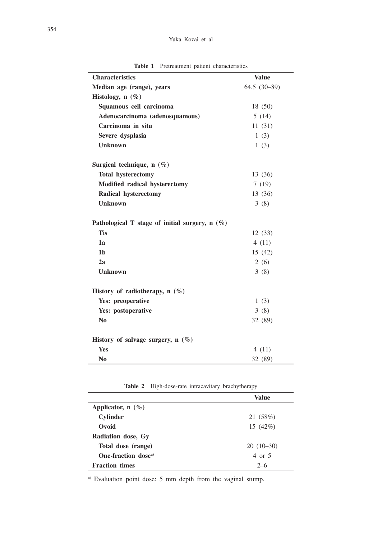| <b>Characteristics</b>                           | <b>Value</b> |
|--------------------------------------------------|--------------|
| Median age (range), years                        | 64.5 (30-89) |
| Histology, $n$ (%)                               |              |
| Squamous cell carcinoma                          | 18 (50)      |
| Adenocarcinoma (adenosquamous)                   | 5(14)        |
| Carcinoma in situ                                | 11(31)       |
| Severe dysplasia                                 | 1(3)         |
| <b>Unknown</b>                                   | 1(3)         |
| Surgical technique, $n$ (%)                      |              |
| <b>Total hysterectomy</b>                        | 13 (36)      |
| Modified radical hysterectomy                    | 7(19)        |
| Radical hysterectomy                             | 13 (36)      |
| <b>Unknown</b>                                   | 3(8)         |
| Pathological T stage of initial surgery, $n$ (%) |              |
| <b>Tis</b>                                       | 12(33)       |
| 1a                                               | 4(11)        |
| 1 <sub>b</sub>                                   | 15(42)       |
| 2a                                               | 2(6)         |
| <b>Unknown</b>                                   | 3(8)         |
| History of radiotherapy, $n$ (%)                 |              |
| Yes: preoperative                                | 1(3)         |
| Yes: postoperative                               | 3(8)         |
| $\mathbf{N}\mathbf{0}$                           | 32 (89)      |
| History of salvage surgery, $n(\%)$              |              |
| Yes                                              | 4(11)        |
| $\mathbf{N}\mathbf{0}$                           | 32 (89)      |

**Table 1** Pretreatment patient characteristics

**Table 2** High-dose-rate intracavitary brachytherapy

Ĭ.

|                                 | Value       |
|---------------------------------|-------------|
| Applicator, $n$ (%)             |             |
| <b>Cylinder</b>                 | 21 (58%)    |
| Ovoid                           | 15(42%)     |
| Radiation dose, Gv              |             |
| Total dose (range)              | $20(10-30)$ |
| One-fraction dose <sup>a)</sup> | 4 or 5      |
| <b>Fraction times</b>           | $2 - 6$     |

a) Evaluation point dose: 5 mm depth from the vaginal stump.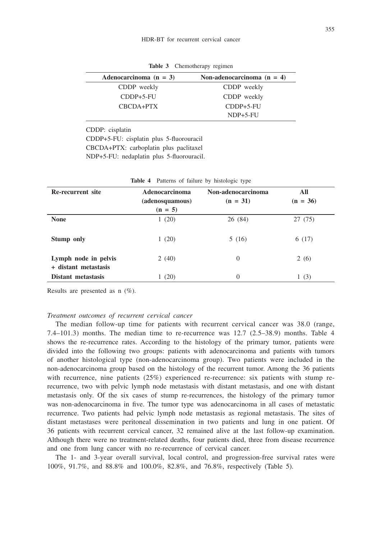| Adenocarcinoma $(n = 3)$ | Non-adenocarcinoma $(n = 4)$ |
|--------------------------|------------------------------|
| CDDP weekly              | CDDP weekly                  |
| $CDDP+5-FU$              | CDDP weekly                  |
| CBCDA+PTX                | $CDDP+5-FU$                  |
|                          | $NDP+5-FU$                   |

**Table 3** Chemotherapy regimen

CDDP: cisplatin

CDDP+5-FU: cisplatin plus 5-fluorouracil

CBCDA+PTX: carboplatin plus paclitaxel

NDP+5-FU: nedaplatin plus 5-fluorouracil.

| <b>Re-recurrent site</b> | Adenocarcinoma<br>(adenosquamous)<br>$(n = 5)$ | Non-adenocarcinoma<br>$(n = 31)$ | All<br>$(n = 36)$ |
|--------------------------|------------------------------------------------|----------------------------------|-------------------|
| <b>None</b>              | 1(20)                                          | 26 (84)                          | 27 (75)           |
| Stump only               | 1(20)                                          | 5(16)                            | 6 (17)            |
| Lymph node in pelvis     | 2(40)                                          | $\Omega$                         | 2(6)              |
| + distant metastasis     |                                                |                                  |                   |
| Distant metastasis       | (20)                                           | $\Omega$                         | 1(3)              |

|  |  |  | <b>Table 4</b> Patterns of failure by histologic type |  |
|--|--|--|-------------------------------------------------------|--|
|  |  |  |                                                       |  |

Results are presented as  $n$  (%).

# *Treatment outcomes of recurrent cervical cancer*

The median follow-up time for patients with recurrent cervical cancer was 38.0 (range, 7.4–101.3) months. The median time to re-recurrence was 12.7 (2.5–38.9) months. Table 4 shows the re-recurrence rates. According to the histology of the primary tumor, patients were divided into the following two groups: patients with adenocarcinoma and patients with tumors of another histological type (non-adenocarcinoma group). Two patients were included in the non-adenocarcinoma group based on the histology of the recurrent tumor. Among the 36 patients with recurrence, nine patients (25%) experienced re-recurrence: six patients with stump rerecurrence, two with pelvic lymph node metastasis with distant metastasis, and one with distant metastasis only. Of the six cases of stump re-recurrences, the histology of the primary tumor was non-adenocarcinoma in five. The tumor type was adenocarcinoma in all cases of metastatic recurrence. Two patients had pelvic lymph node metastasis as regional metastasis. The sites of distant metastases were peritoneal dissemination in two patients and lung in one patient. Of 36 patients with recurrent cervical cancer, 32 remained alive at the last follow-up examination. Although there were no treatment-related deaths, four patients died, three from disease recurrence and one from lung cancer with no re-recurrence of cervical cancer.

The 1- and 3-year overall survival, local control, and progression-free survival rates were 100%, 91.7%, and 88.8% and 100.0%, 82.8%, and 76.8%, respectively (Table 5).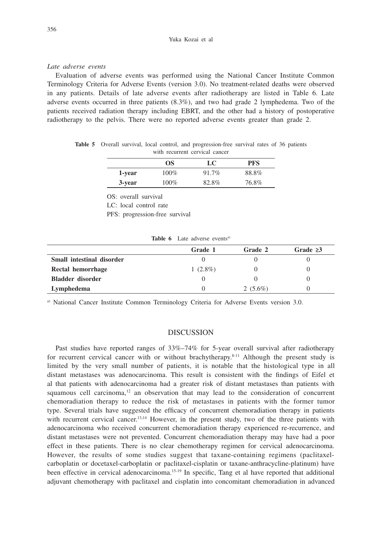# *Late adverse events*

Evaluation of adverse events was performed using the National Cancer Institute Common Terminology Criteria for Adverse Events (version 3.0). No treatment-related deaths were observed in any patients. Details of late adverse events after radiotherapy are listed in Table 6. Late adverse events occurred in three patients (8.3%), and two had grade 2 lymphedema. Two of the patients received radiation therapy including EBRT, and the other had a history of postoperative radiotherapy to the pelvis. There were no reported adverse events greater than grade 2.

|        | OS      | LC    | <b>PFS</b> |
|--------|---------|-------|------------|
| 1-year | $100\%$ | 91.7% | 88.8%      |
| 3-year | 100%    | 82.8% | 76.8%      |

Table 5 Overall survival, local control, and progression-free survival rates of 36 patients with recurrent cervical cancer

OS: overall survival

LC: local control rate

PFS: progression-free survival

|                           | Grade 1     | Grade 2     | Grade $\geq 3$ |
|---------------------------|-------------|-------------|----------------|
| Small intestinal disorder |             |             |                |
| Rectal hemorrhage         | 1 $(2.8\%)$ |             |                |
| <b>Bladder disorder</b>   | $\cup$      |             |                |
| Lymphedema                | $\theta$    | 2 $(5.6\%)$ |                |

| <b>Table 6</b> Late adverse events <sup>a)</sup> |  |  |
|--------------------------------------------------|--|--|
|--------------------------------------------------|--|--|

a) National Cancer Institute Common Terminology Criteria for Adverse Events version 3.0.

# DISCUSSION

Past studies have reported ranges of 33%–74% for 5-year overall survival after radiotherapy for recurrent cervical cancer with or without brachytherapy.<sup>8-11</sup> Although the present study is limited by the very small number of patients, it is notable that the histological type in all distant metastases was adenocarcinoma. This result is consistent with the findings of Eifel et al that patients with adenocarcinoma had a greater risk of distant metastases than patients with squamous cell carcinoma, $12$  an observation that may lead to the consideration of concurrent chemoradiation therapy to reduce the risk of metastases in patients with the former tumor type. Several trials have suggested the efficacy of concurrent chemoradiation therapy in patients with recurrent cervical cancer.<sup>13,14</sup> However, in the present study, two of the three patients with adenocarcinoma who received concurrent chemoradiation therapy experienced re-recurrence, and distant metastases were not prevented. Concurrent chemoradiation therapy may have had a poor effect in these patients. There is no clear chemotherapy regimen for cervical adenocarcinoma. However, the results of some studies suggest that taxane-containing regimens (paclitaxelcarboplatin or docetaxel-carboplatin or paclitaxel-cisplatin or taxane-anthracycline-platinum) have been effective in cervical adenocarcinoma.<sup>15-19</sup> In specific, Tang et al have reported that additional adjuvant chemotherapy with paclitaxel and cisplatin into concomitant chemoradiation in advanced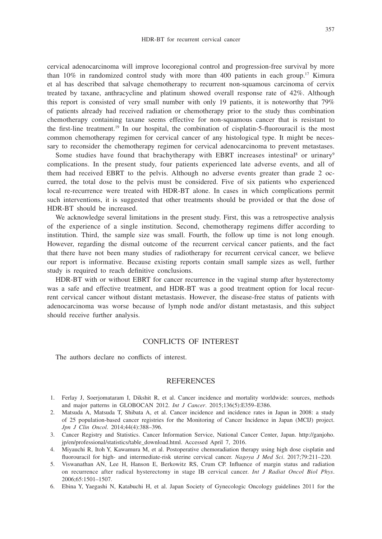cervical adenocarcinoma will improve locoregional control and progression-free survival by more than 10% in randomized control study with more than 400 patients in each group.<sup>17</sup> Kimura et al has described that salvage chemotherapy to recurrent non-squamous carcinoma of cervix treated by taxane, anthracycline and platinum showed overall response rate of 42%. Although this report is consisted of very small number with only 19 patients, it is noteworthy that 79% of patients already had received radiation or chemotherapy prior to the study thus combination chemotherapy containing taxane seems effective for non-squamous cancer that is resistant to the first-line treatment.19 In our hospital, the combination of cisplatin-5-fluorouracil is the most common chemotherapy regimen for cervical cancer of any histological type. It might be necessary to reconsider the chemotherapy regimen for cervical adenocarcinoma to prevent metastases.

Some studies have found that brachytherapy with EBRT increases intestinal<sup>8</sup> or urinary<sup>9</sup> complications. In the present study, four patients experienced late adverse events, and all of them had received EBRT to the pelvis. Although no adverse events greater than grade 2 occurred, the total dose to the pelvis must be considered. Five of six patients who experienced local re-recurrence were treated with HDR-BT alone. In cases in which complications permit such interventions, it is suggested that other treatments should be provided or that the dose of HDR-BT should be increased.

We acknowledge several limitations in the present study. First, this was a retrospective analysis of the experience of a single institution. Second, chemotherapy regimens differ according to institution. Third, the sample size was small. Fourth, the follow up time is not long enough. However, regarding the dismal outcome of the recurrent cervical cancer patients, and the fact that there have not been many studies of radiotherapy for recurrent cervical cancer, we believe our report is informative. Because existing reports contain small sample sizes as well, further study is required to reach definitive conclusions.

HDR-BT with or without EBRT for cancer recurrence in the vaginal stump after hysterectomy was a safe and effective treatment, and HDR-BT was a good treatment option for local recurrent cervical cancer without distant metastasis. However, the disease-free status of patients with adenocarcinoma was worse because of lymph node and/or distant metastasis, and this subject should receive further analysis.

# CONFLICTS OF INTEREST

The authors declare no conflicts of interest.

### **REFERENCES**

- 1. Ferlay J, Soerjomataram I, Dikshit R, et al. Cancer incidence and mortality worldwide: sources, methods and major patterns in GLOBOCAN 2012. *Int J Cancer*. 2015;136(5):E359–E386.
- 2. Matsuda A, Matsuda T, Shibata A, et al. Cancer incidence and incidence rates in Japan in 2008: a study of 25 population-based cancer registries for the Monitoring of Cancer Incidence in Japan (MCIJ) project. *Jpn J Clin Oncol*. 2014;44(4):388–396.
- 3. Cancer Registry and Statistics. Cancer Information Service, National Cancer Center, Japan. http://ganjoho. jp/en/professional/statistics/table\_download.html. Accessed April 7, 2016.
- 4. Miyauchi R, Itoh Y, Kawamura M, et al. Postoperative chemoradiation therapy using high dose cisplatin and fluorouracil for high- and intermediate-risk uterine cervical cancer. *Nagoya J Med Sci*. 2017;79:211–220.
- 5. Viswanathan AN, Lee H, Hanson E, Berkowitz RS, Crum CP. Influence of margin status and radiation on recurrence after radical hysterectomy in stage IB cervical cancer. *Int J Radiat Oncol Biol Phys*. 2006;65:1501–1507.
- 6. Ebina Y, Yaegashi N, Katabuchi H, et al. Japan Society of Gynecologic Oncology guidelines 2011 for the